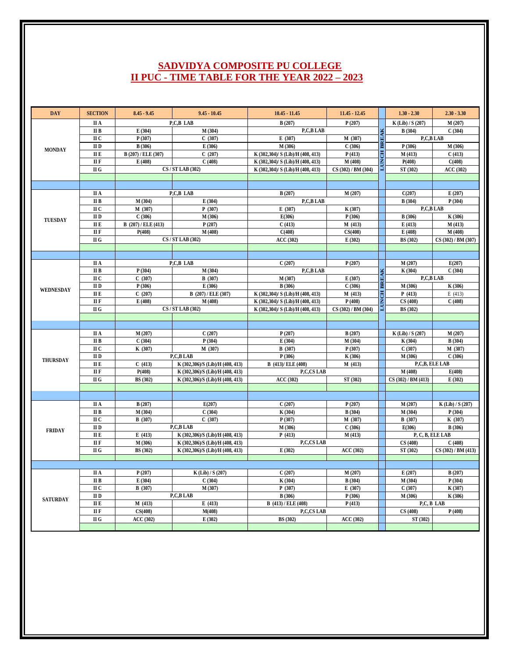## **SADVIDYA COMPOSITE PU COLLEGE II PUC - TIME TABLE FOR THE YEAR 2022 – 2023**

| <b>DAY</b>       | <b>SECTION</b>                           | $8.45 - 9.45$       | $9.45 - 10.45$                   | $10.45 - 11.45$                   | $11.45 - 12.45$     |                    | $1.30 - 2.30$       | $2.30 - 3.30$       |
|------------------|------------------------------------------|---------------------|----------------------------------|-----------------------------------|---------------------|--------------------|---------------------|---------------------|
| <b>MONDAY</b>    | II A                                     |                     | P.C.B LAB                        | B(207)                            | P(207)              |                    | K(Lib) / S(207)     | M(207)              |
|                  | II B                                     | E(304)              | M(304)                           | P,C,B LAB                         |                     |                    | <b>B</b> (304)      | C(304)              |
|                  | II C                                     | P(307)              | C(307)                           | E(307)                            | M (307)             |                    | P,C,B LAB           |                     |
|                  | $\scriptstyle\rm II$ D                   | <b>B</b> (306)      | E(306)                           | M (306)                           | C(306)              | LUNCH BREAK        | P(306)              | M (306)             |
|                  | ПЕ                                       | B (207) / ELE (307) | C(207)                           | K (302,304)/ S (Lib)/H (408, 413) | P(413)              |                    | M(413)              | C(413)              |
|                  | II F                                     | E(408)              | C(408)                           | K (302,304)/ S (Lib)/H (408, 413) | M(408)              |                    | P(408)              | C(408)              |
|                  | $\rm II$ $\rm G$                         |                     | CS / ST LAB (302)                | K (302,304)/ S (Lib)/H (408, 413) | CS (302) / BM (304) |                    | ST (302)            | <b>ACC</b> (302)    |
|                  |                                          |                     |                                  |                                   |                     |                    |                     |                     |
|                  |                                          |                     |                                  |                                   |                     |                    |                     |                     |
| <b>TUESDAY</b>   | II A                                     |                     | P,C,B LAB                        | B(207)                            | M(207)              |                    | C(207)              | E(207)              |
|                  | II B                                     | M(304)              | E(304)                           | P,C,B LAB                         |                     |                    | <b>B</b> (304)      | P(304)              |
|                  | ПС                                       | M (307)             | P(307)                           | E(307)                            | K (307)             |                    | P.C.B LAB           |                     |
|                  | $\rm II$ D                               | C(306)              | M (306)                          | E(306)                            | P(306)              |                    | <b>B</b> (306)      | K (306)             |
|                  | II E                                     | B (207) / ELE (413) | P(207)                           | C(413)                            | M(413)              |                    | E(413)              | M(413)              |
|                  | <b>IIF</b>                               | P(408)              | M (408)                          | C(408)                            | CS(408)             |                    | E(408)              | M(408)              |
|                  | $\rm II$ G                               |                     | CS / ST LAB (302)                | <b>ACC (302)</b>                  | E(302)              |                    | <b>BS</b> (302)     | CS (302) / BM (307) |
|                  |                                          |                     |                                  |                                   |                     |                    |                     |                     |
|                  |                                          |                     |                                  |                                   |                     |                    |                     |                     |
|                  | II A                                     |                     | P.C.B LAB                        | C(207)                            | P(207)              |                    | M(207)              | E(207)              |
|                  | II B                                     | P(304)              | M(304)                           | P,C,B LAB                         |                     | <b>LUNCH BREAK</b> | K (304)             | C(304)              |
|                  | II C                                     | C(307)              | <b>B</b> (307)                   | M (307)                           | E(307)              |                    | P,C,B LAB           |                     |
| <b>WEDNESDAY</b> | II D                                     | P(306)              | E(306)                           | B(306)                            | C(306)              |                    | M(306)              | K (306)             |
|                  | II E                                     | C(207)              | B (207) / ELE (307)              | K (302,304)/ S (Lib)/H (408, 413) | M(413)              |                    | P(413)              | E(413)              |
|                  | II F                                     | E(408)              | M(408)                           | K (302,304)/ S (Lib)/H (408, 413) | P(408)              |                    | CS(408)             | C(408)              |
|                  | II G                                     |                     | CS / ST LAB (302)                | K (302,304)/ S (Lib)/H (408, 413) | CS (302) / BM (304) |                    | <b>BS</b> (302)     |                     |
|                  |                                          |                     |                                  |                                   |                     |                    |                     |                     |
|                  | II A                                     | M(207)              | C(207)                           | P(207)                            | B(207)              |                    | K (Lib) / S (207)   | M(207)              |
|                  | II B                                     | C(304)              | P(304)                           | E(304)                            | M(304)              |                    | K (304)             | <b>B</b> (304)      |
|                  | ПС                                       | K (307)             | M(307)                           | <b>B</b> (307)                    | P(307)              |                    | C(307)              | M (307)             |
|                  | II D                                     |                     | P,C,B LAB                        | P(306)                            | K (306)             |                    | M(306)              | C(306)              |
| <b>THURSDAY</b>  | II E                                     | C(413)              | K (302,306)/S (Lib)/H (408, 413) | B (413)/ ELE (408)                | M(413)              |                    | P,C,B, ELE LAB      |                     |
|                  | II F                                     | P(408)              | K (302,306)/S (Lib)/H (408, 413) | P.C.CS LAB                        |                     |                    | M(408)              | E(408)              |
|                  | II G                                     | <b>BS</b> (302)     | K (302,306)/S (Lib)/H (408, 413) | <b>ACC (302)</b>                  | ST (302)            |                    | CS (302) / BM (413) | E(302)              |
|                  |                                          |                     |                                  |                                   |                     |                    |                     |                     |
|                  |                                          |                     |                                  |                                   |                     |                    |                     |                     |
|                  | II A                                     | B(207)              | E(207)                           | C(207)                            | P(207)              |                    | M(207)              | K (Lib) / S (207)   |
| <b>FRIDAY</b>    | II B                                     | M (304)             | C(304)                           | K (304)                           | B(304)              |                    | M(304)              | P(304)              |
|                  | ПС                                       | <b>B</b> (307)      | C(307)                           | P(307)                            | M (307)             |                    | <b>B</b> (307)      | K (307)             |
|                  | $\rm II$ D                               |                     | P.C.B LAB                        | M (306)                           | C(306)              |                    | E(306)              | <b>B</b> (306)      |
|                  | ПЕ                                       | E (413)             | K (302,306)/S (Lib)/H (408, 413) | P(413)                            | M(413)              |                    | P, C, B, ELE LAB    |                     |
|                  | II F                                     | M (306)             | K (302,306)/S (Lib)/H (408, 413) | P,C,CS LAB                        |                     |                    | CS(408)             | C(408)              |
|                  | $\rm II$ G                               | <b>BS</b> (302)     | K (302,306)/S (Lib)/H (408, 413) | E(302)                            | <b>ACC (302)</b>    |                    | ST (302)            | CS (302) / BM (413) |
|                  |                                          |                     |                                  |                                   |                     |                    |                     |                     |
|                  |                                          |                     |                                  |                                   |                     |                    |                     |                     |
| <b>SATURDAY</b>  | II A                                     | P(207)              | K(Lib) / S(207)                  | C(207)                            | M(207)              |                    | E(207)              | B(207)              |
|                  | II B                                     | E(304)              | C(304)                           | K (304)                           | <b>B</b> (304)      |                    | M(304)              | P(304)              |
|                  | II C                                     | <b>B</b> (307)      | M (307)                          | P(307)                            | E(307)              |                    | C(307)              | K (307)             |
|                  | $\scriptstyle\rm II$ D                   |                     | P,C,B LAB                        | <b>B</b> (306)                    | P(306)              |                    | M (306)             | K (306)             |
|                  | ПЕ                                       | M(413)              | E(413)                           | B (413) / ELE (408)               | P(413)              |                    | P.C. B LAB          |                     |
|                  | $\scriptstyle\rm II$ $\scriptstyle\rm F$ | CS(408)             | M(408)                           | P,C,CS LAB                        |                     |                    | CS(408)             | P(408)              |
|                  | II G                                     | <b>ACC (302)</b>    | E(302)                           | <b>BS</b> (302)                   | <b>ACC (302)</b>    |                    | ST (302)            |                     |
|                  |                                          |                     |                                  |                                   |                     |                    |                     |                     |